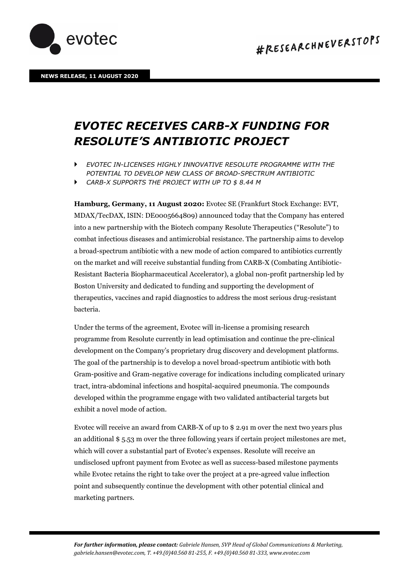



## *EVOTEC RECEIVES CARB-X FUNDING FOR RESOLUTE'S ANTIBIOTIC PROJECT*

 *EVOTEC IN-LICENSES HIGHLY INNOVATIVE RESOLUTE PROGRAMME WITH THE POTENTIAL TO DEVELOP NEW CLASS OF BROAD-SPECTRUM ANTIBIOTIC* 

*CARB-X SUPPORTS THE PROJECT WITH UP TO \$ 8.44 M* 

**Hamburg, Germany, 11 August 2020:** Evotec SE (Frankfurt Stock Exchange: EVT, MDAX/TecDAX, ISIN: DE0005664809) announced today that the Company has entered into a new partnership with the Biotech company Resolute Therapeutics ("Resolute") to combat infectious diseases and antimicrobial resistance. The partnership aims to develop a broad-spectrum antibiotic with a new mode of action compared to antibiotics currently on the market and will receive substantial funding from CARB-X (Combating Antibiotic-Resistant Bacteria Biopharmaceutical Accelerator), a global non-profit partnership led by Boston University and dedicated to funding and supporting the development of therapeutics, vaccines and rapid diagnostics to address the most serious drug-resistant bacteria.

Under the terms of the agreement, Evotec will in-license a promising research programme from Resolute currently in lead optimisation and continue the pre-clinical development on the Company's proprietary drug discovery and development platforms. The goal of the partnership is to develop a novel broad-spectrum antibiotic with both Gram-positive and Gram-negative coverage for indications including complicated urinary tract, intra-abdominal infections and hospital-acquired pneumonia. The compounds developed within the programme engage with two validated antibacterial targets but exhibit a novel mode of action.

Evotec will receive an award from CARB-X of up to \$ 2.91 m over the next two years plus an additional \$ 5.53 m over the three following years if certain project milestones are met, which will cover a substantial part of Evotec's expenses. Resolute will receive an undisclosed upfront payment from Evotec as well as success-based milestone payments while Evotec retains the right to take over the project at a pre-agreed value inflection point and subsequently continue the development with other potential clinical and marketing partners.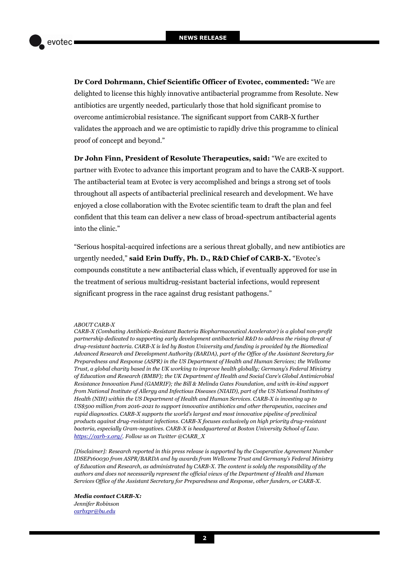**Dr Cord Dohrmann, Chief Scientific Officer of Evotec, commented:** "We are delighted to license this highly innovative antibacterial programme from Resolute. New antibiotics are urgently needed, particularly those that hold significant promise to overcome antimicrobial resistance. The significant support from CARB-X further validates the approach and we are optimistic to rapidly drive this programme to clinical proof of concept and beyond."

**Dr John Finn, President of Resolute Therapeutics, said:** "We are excited to partner with Evotec to advance this important program and to have the CARB-X support. The antibacterial team at Evotec is very accomplished and brings a strong set of tools throughout all aspects of antibacterial preclinical research and development. We have enjoyed a close collaboration with the Evotec scientific team to draft the plan and feel confident that this team can deliver a new class of broad-spectrum antibacterial agents into the clinic."

"Serious hospital-acquired infections are a serious threat globally, and new antibiotics are urgently needed," **said Erin Duffy, Ph. D., R&D Chief of CARB-X.** "Evotec's compounds constitute a new antibacterial class which, if eventually approved for use in the treatment of serious multidrug-resistant bacterial infections, would represent significant progress in the race against drug resistant pathogens."

## *ABOUT CARB-X*

*CARB-X (Combating Antibiotic-Resistant Bacteria Biopharmaceutical Accelerator) is a global non-profit partnership dedicated to supporting early development antibacterial R&D to address the rising threat of drug-resistant bacteria. CARB-X is led by Boston University and funding is provided by the Biomedical Advanced Research and Development Authority (BARDA), part of the Office of the Assistant Secretary for Preparedness and Response (ASPR) in the US Department of Health and Human Services; the Wellcome Trust, a global charity based in the UK working to improve health globally; Germany's Federal Ministry of Education and Research (BMBF); the UK Department of Health and Social Care's Global Antimicrobial Resistance Innovation Fund (GAMRIF); the Bill & Melinda Gates Foundation, and with in-kind support from National Institute of Allergy and Infectious Diseases (NIAID), part of the US National Institutes of Health (NIH) within the US Department of Health and Human Services. CARB-X is investing up to US\$500 million from 2016-2021 to support innovative antibiotics and other therapeutics, vaccines and rapid diagnostics. CARB-X supports the world's largest and most innovative pipeline of preclinical products against drug-resistant infections. CARB-X focuses exclusively on high priority drug-resistant bacteria, especially Gram-negatives. CARB-X is headquartered at Boston University School of Law. [https://carb-x.org/.](https://carb-x.org/) Follow us on Twitter @CARB\_X* 

*[Disclaimer]: Research reported in this press release is supported by the Cooperative Agreement Number IDSEP160030 from ASPR/BARDA and by awards from Wellcome Trust and Germany's Federal Ministry of Education and Research, as administrated by CARB-X. The content is solely the responsibility of the authors and does not necessarily represent the official views of the Department of Health and Human Services Office of the Assistant Secretary for Preparedness and Response, other funders, or CARB-X.*

*Media contact CARB-X: Jennifer Robinson [carbxpr@bu.edu](mailto:carbxpr@bu.edu)*